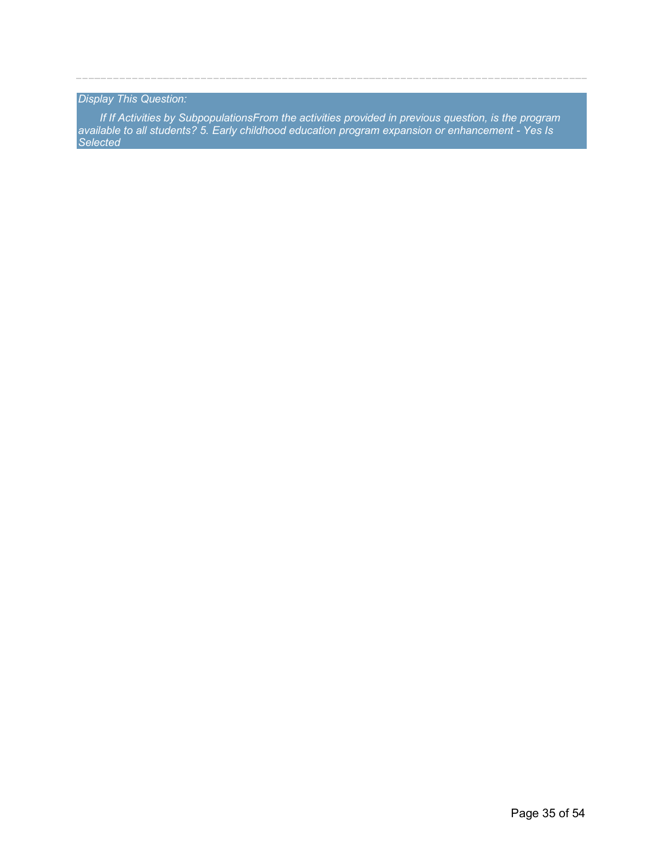## *Display This Question:*

*If If Activities by SubpopulationsFrom the activities provided in previous question, is the program available to all students? 5. Early childhood education program expansion or enhancement - Yes Is Selected* Please note that the total file is for LEA planning. All responses must be submitted to the Qualitative tool by May 10, 2022 by 5:00 PM.<br>Display: This Qualitan:<br>and May 10, 2022 by Submitted to the Qualitative file in the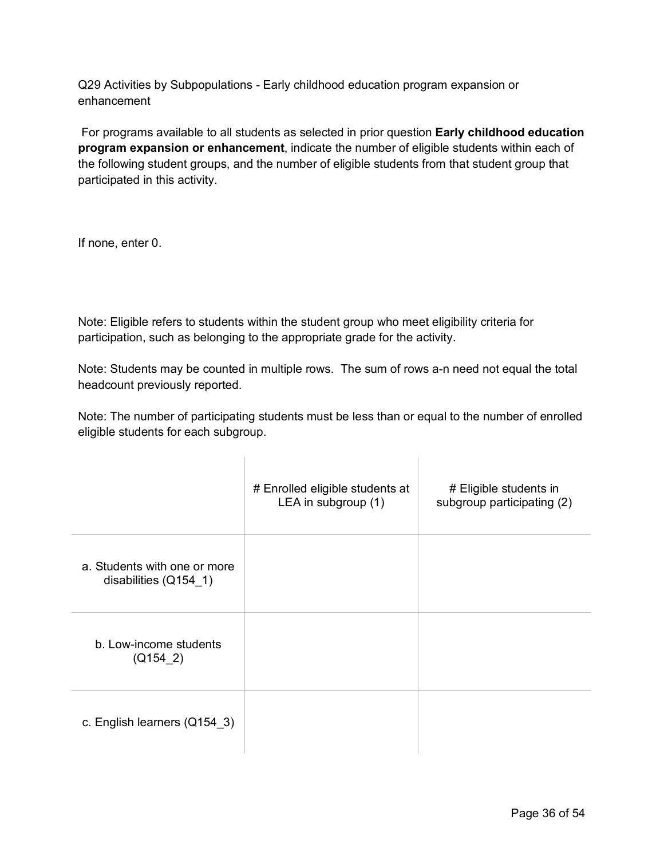| Please note that this word file is for LEA planning. All responses must be submitted to the Qualtrics tool by May 10, 2022 by 5:00 PM.                                                                                                                                                                                          |                                                                                                                                                                             |                                                      |
|---------------------------------------------------------------------------------------------------------------------------------------------------------------------------------------------------------------------------------------------------------------------------------------------------------------------------------|-----------------------------------------------------------------------------------------------------------------------------------------------------------------------------|------------------------------------------------------|
| Q29 Activities by Subpopulations - Early childhood education program expansion or<br>enhancement                                                                                                                                                                                                                                |                                                                                                                                                                             |                                                      |
| For programs available to all students as selected in prior question Early childhood education<br>program expansion or enhancement, indicate the number of eligible students within each of<br>the following student groups, and the number of eligible students from that student group that<br>participated in this activity. |                                                                                                                                                                             |                                                      |
| If none, enter 0.                                                                                                                                                                                                                                                                                                               |                                                                                                                                                                             |                                                      |
|                                                                                                                                                                                                                                                                                                                                 |                                                                                                                                                                             |                                                      |
|                                                                                                                                                                                                                                                                                                                                 | Note: Eligible refers to students within the student group who meet eligibility criteria for<br>participation, such as belonging to the appropriate grade for the activity. |                                                      |
| Note: Students may be counted in multiple rows. The sum of rows a-n need not equal the total<br>headcount previously reported.                                                                                                                                                                                                  |                                                                                                                                                                             |                                                      |
| Note: The number of participating students must be less than or equal to the number of enrolled<br>eligible students for each subgroup.                                                                                                                                                                                         |                                                                                                                                                                             |                                                      |
|                                                                                                                                                                                                                                                                                                                                 | # Enrolled eligible students at<br>LEA in subgroup (1)                                                                                                                      | # Eligible students in<br>subgroup participating (2) |
| a. Students with one or more<br>disabilities (Q154 1)                                                                                                                                                                                                                                                                           |                                                                                                                                                                             |                                                      |
| b. Low-income students<br>(Q154 2)                                                                                                                                                                                                                                                                                              |                                                                                                                                                                             |                                                      |
| c. English learners (Q154 3)                                                                                                                                                                                                                                                                                                    |                                                                                                                                                                             |                                                      |
|                                                                                                                                                                                                                                                                                                                                 |                                                                                                                                                                             |                                                      |
|                                                                                                                                                                                                                                                                                                                                 |                                                                                                                                                                             | Page 36 of 54<br>ADA Compliant 3/28/22               |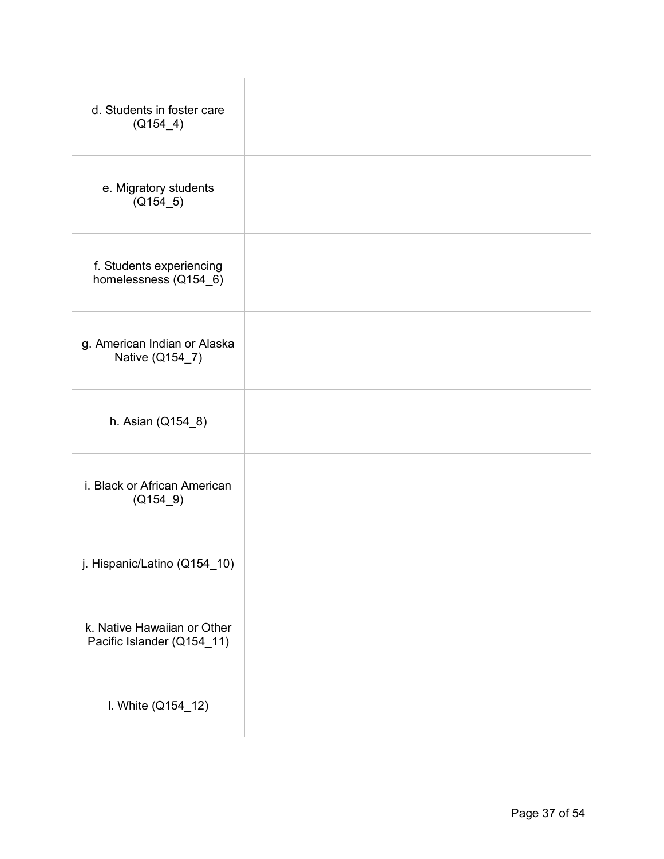|                                                           | Please note that this word file is for LEA planning. All responses must be submitted to the Qualtrics tool by May 10, 2022 by 5:00 PM. |                                        |
|-----------------------------------------------------------|----------------------------------------------------------------------------------------------------------------------------------------|----------------------------------------|
| d. Students in foster care<br>$(Q154_4)$                  |                                                                                                                                        |                                        |
| e. Migratory students<br>$(Q154-5)$                       |                                                                                                                                        |                                        |
| f. Students experiencing<br>homelessness (Q154_6)         |                                                                                                                                        |                                        |
| g. American Indian or Alaska<br>Native (Q154_7)           |                                                                                                                                        |                                        |
| h. Asian (Q154_8)                                         |                                                                                                                                        |                                        |
| i. Black or African American<br>(Q154 9)                  |                                                                                                                                        |                                        |
| j. Hispanic/Latino (Q154_10)                              |                                                                                                                                        |                                        |
| k. Native Hawaiian or Other<br>Pacific Islander (Q154_11) |                                                                                                                                        |                                        |
| I. White (Q154_12)                                        |                                                                                                                                        |                                        |
|                                                           |                                                                                                                                        |                                        |
|                                                           |                                                                                                                                        | Page 37 of 54<br>ADA Compliant 3/28/22 |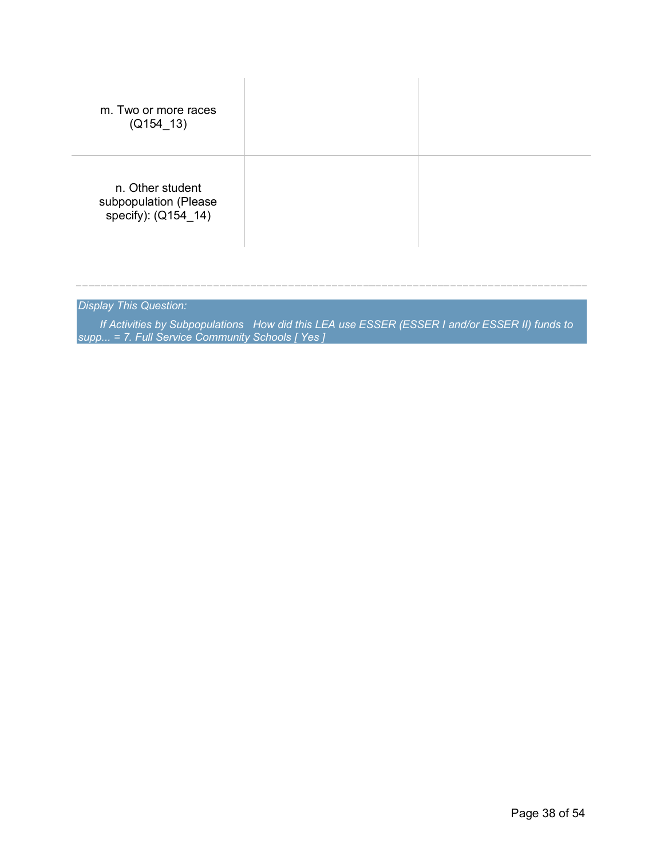| Please note that this word file is for LEA planning. All responses must be submitted to the Qualtrics tool by May 10, 2022 by 5:00 PM.                                           |  |                                        |
|----------------------------------------------------------------------------------------------------------------------------------------------------------------------------------|--|----------------------------------------|
| m. Two or more races<br>$(Q154 - 13)$                                                                                                                                            |  |                                        |
| n. Other student<br>subpopulation (Please<br>specify): (Q154_14)                                                                                                                 |  |                                        |
| <b>Display This Question:</b><br>If Activities by Subpopulations How did this LEA use ESSER (ESSER I and/or ESSER II) funds to<br>supp = 7. Full Service Community Schools [Yes] |  |                                        |
|                                                                                                                                                                                  |  |                                        |
|                                                                                                                                                                                  |  |                                        |
|                                                                                                                                                                                  |  |                                        |
|                                                                                                                                                                                  |  |                                        |
|                                                                                                                                                                                  |  |                                        |
|                                                                                                                                                                                  |  | Page 38 of 54<br>ADA Compliant 3/28/22 |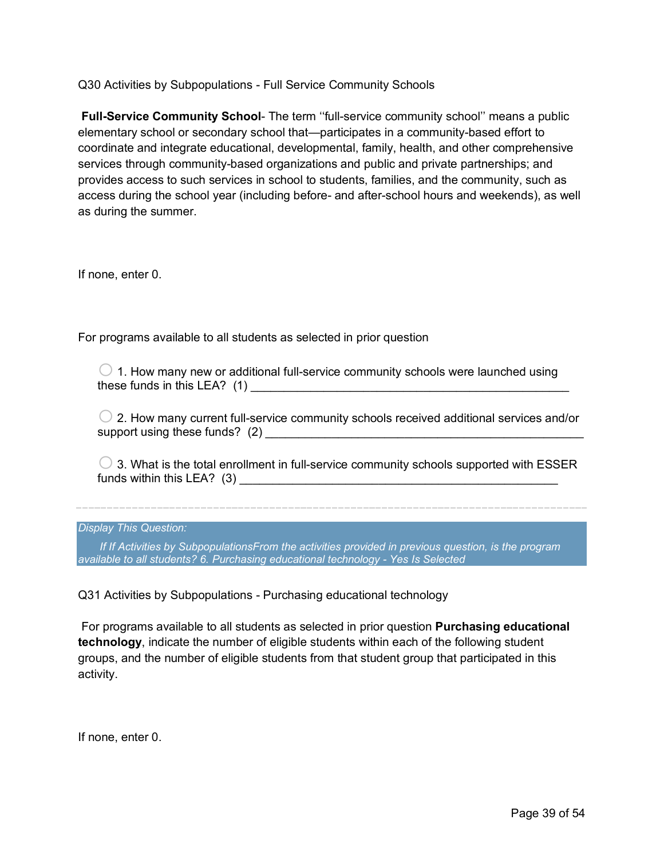Q30 Activities by Subpopulations - Full Service Community Schools

**Full-Service Community School**- The term ''full-service community school'' means a public elementary school or secondary school that—participates in a community-based effort to coordinate and integrate educational, developmental, family, health, and other comprehensive services through community-based organizations and public and private partnerships; and provides access to such services in school to students, families, and the community, such as access during the school year (including before- and after-school hours and weekends), as well as during the summer. Please note that the signal device of the state of the CA planning of the state of the CA planning of the CA planning and CA planning and CA planning the submitted to the CA planning of the CA planning and the community Sc

If none, enter 0.

For programs available to all students as selected in prior question

 $\bigcirc$  1. How many new or additional full-service community schools were launched using these funds in this LEA?  $(1)$ 

 $\bigcirc$  2. How many current full-service community schools received additional services and/or support using these funds? (2) **Example 2** and  $\overline{a}$  and  $\overline{b}$  and  $\overline{c}$  and  $\overline{c}$  and  $\overline{c}$  and  $\overline{c}$  and  $\overline{c}$  and  $\overline{c}$  and  $\overline{c}$  and  $\overline{c}$  and  $\overline{c}$  and  $\overline{c}$  and  $\overline{c}$  and  $\overline{c$ 

 $\bigcirc$  3. What is the total enrollment in full-service community schools supported with ESSER funds within this LEA?  $(3)$ 

*Display This Question:*

*If If Activities by SubpopulationsFrom the activities provided in previous question, is the program available to all students? 6. Purchasing educational technology - Yes Is Selected*

Q31 Activities by Subpopulations - Purchasing educational technology

For programs available to all students as selected in prior question **Purchasing educational technology**, indicate the number of eligible students within each of the following student groups, and the number of eligible students from that student group that participated in this activity.

If none, enter 0.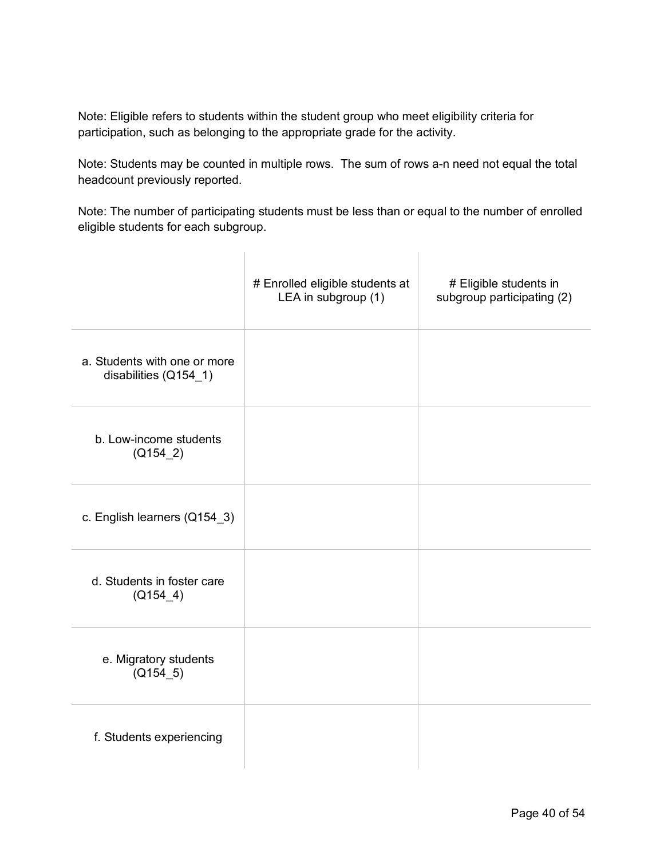| Please note that this word file is for LEA planning. All responses must be submitted to the Qualtrics tool by May 10, 2022 by 5:00 PM.                                                                                                                                                                                                                                                                                                                   |                                                        |                                                      |
|----------------------------------------------------------------------------------------------------------------------------------------------------------------------------------------------------------------------------------------------------------------------------------------------------------------------------------------------------------------------------------------------------------------------------------------------------------|--------------------------------------------------------|------------------------------------------------------|
| Note: Eligible refers to students within the student group who meet eligibility criteria for<br>participation, such as belonging to the appropriate grade for the activity.<br>Note: Students may be counted in multiple rows. The sum of rows a-n need not equal the total<br>headcount previously reported.<br>Note: The number of participating students must be less than or equal to the number of enrolled<br>eligible students for each subgroup. |                                                        |                                                      |
|                                                                                                                                                                                                                                                                                                                                                                                                                                                          | # Enrolled eligible students at<br>LEA in subgroup (1) | # Eligible students in<br>subgroup participating (2) |
| a. Students with one or more<br>disabilities (Q154_1)                                                                                                                                                                                                                                                                                                                                                                                                    |                                                        |                                                      |
| b. Low-income students<br>(Q154 2)                                                                                                                                                                                                                                                                                                                                                                                                                       |                                                        |                                                      |
| c. English learners (Q154_3)                                                                                                                                                                                                                                                                                                                                                                                                                             |                                                        |                                                      |
| d. Students in foster care<br>(Q154 4)                                                                                                                                                                                                                                                                                                                                                                                                                   |                                                        |                                                      |
| e. Migratory students<br>$(Q154-5)$                                                                                                                                                                                                                                                                                                                                                                                                                      |                                                        |                                                      |
| f. Students experiencing                                                                                                                                                                                                                                                                                                                                                                                                                                 |                                                        |                                                      |
|                                                                                                                                                                                                                                                                                                                                                                                                                                                          |                                                        | Page 40 of 54<br>ADA Compliant 3/28/22               |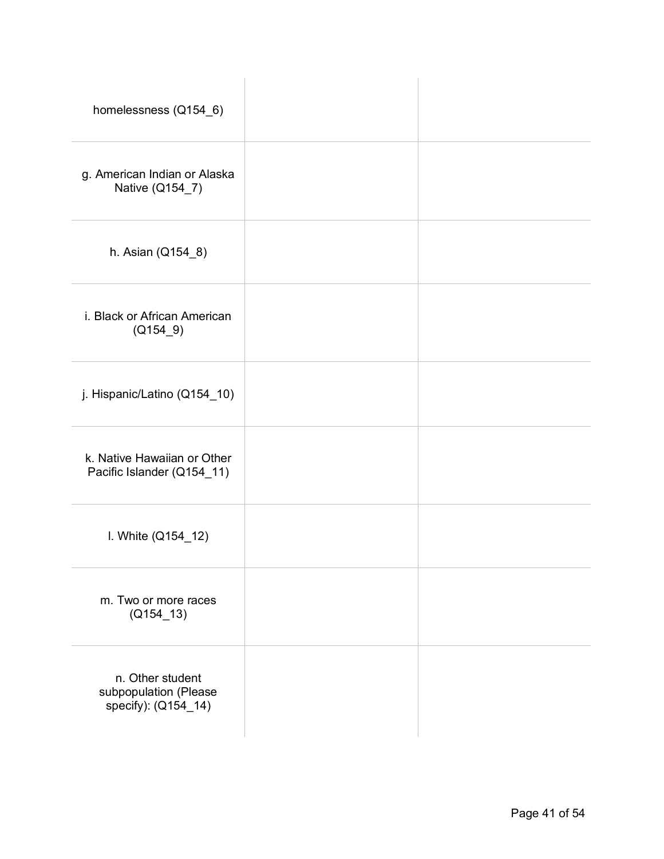|                                                                  | Please note that this word file is for LEA planning. All responses must be submitted to the Qualtrics tool by May 10, 2022 by 5:00 PM. |
|------------------------------------------------------------------|----------------------------------------------------------------------------------------------------------------------------------------|
| homelessness (Q154_6)                                            |                                                                                                                                        |
| g. American Indian or Alaska<br>Native (Q154_7)                  |                                                                                                                                        |
| h. Asian (Q154_8)                                                |                                                                                                                                        |
| i. Black or African American<br>(Q154.9)                         |                                                                                                                                        |
| j. Hispanic/Latino (Q154_10)                                     |                                                                                                                                        |
| k. Native Hawaiian or Other<br>Pacific Islander (Q154_11)        |                                                                                                                                        |
| I. White (Q154_12)                                               |                                                                                                                                        |
| m. Two or more races<br>$(Q154 - 13)$                            |                                                                                                                                        |
| n. Other student<br>subpopulation (Please<br>specify): (Q154_14) |                                                                                                                                        |
|                                                                  |                                                                                                                                        |
|                                                                  | Page 41 of 54<br>ADA Compliant 3/28/22                                                                                                 |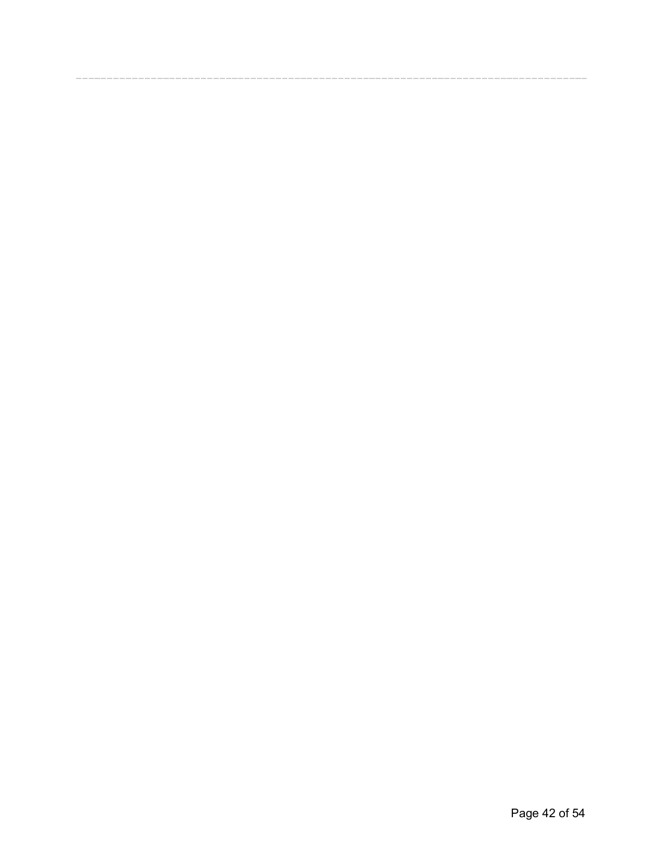Please note that this word file is for LEA planning. All responses must be submitted to the Qualitatic tool by May 10, 2022 by 5:00 PM.<br>Planning and the May 10, 2022 by 5:00 PM.<br>ADA Compliant 3/28/22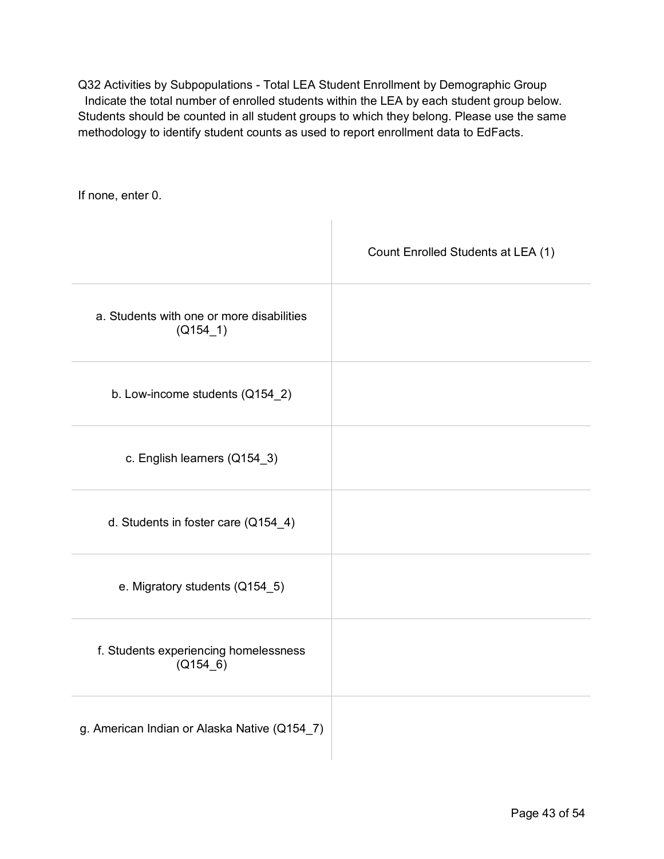Q32 Activities by Subpopulations - Total LEA Student Enrollment by Demographic Group Indicate the total number of enrolled students within the LEA by each student group below. Students should be counted in all student groups to which they belong. Please use the same methodology to identify student counts as used to report enrollment data to EdFacts.

If none, enter 0.

Count Enrolled Students at LEA (1) a. Students with one or more disabilities  $(Q154_1)$ b. Low-income students (Q154\_2) c. English learners (Q154\_3) d. Students in foster care (Q154\_4) e. Migratory students (Q154\_5) f. Students experiencing homelessness  $(Q1546)$ g. American Indian or Alaska Native (Q154\_7) Please note that this word file is for LEA planning. All responses must be standing for Schalicated by Burgapaplic Group<br>
DG2 Activities by Subpopulations - Total LEA Student Emcellinent by Demographic Group<br>
Includied to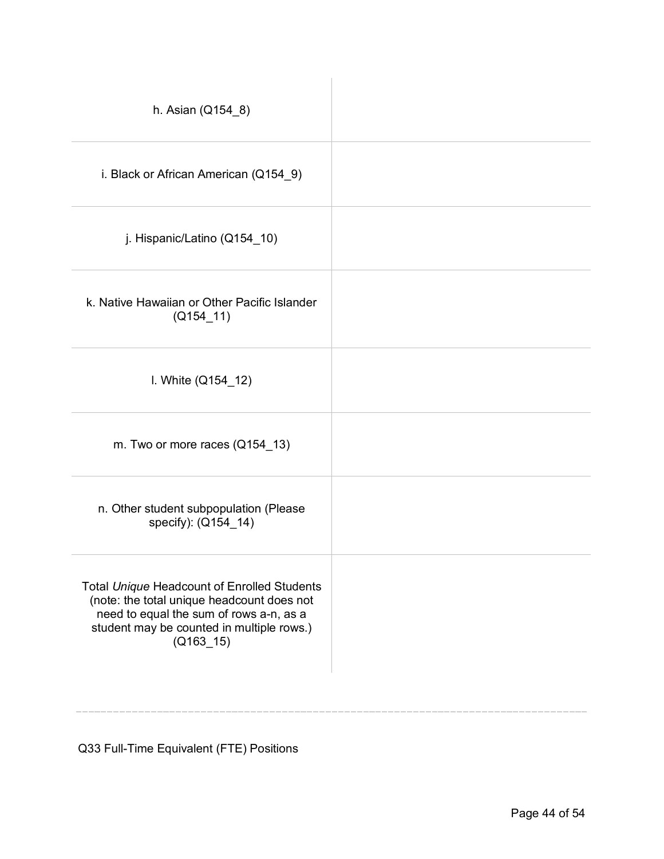| Please note that this word file is for LEA planning. All responses must be submitted to the Qualtrics tool by May 10, 2022 by 5:00 PM.                                                           |                                        |
|--------------------------------------------------------------------------------------------------------------------------------------------------------------------------------------------------|----------------------------------------|
| h. Asian (Q154 8)                                                                                                                                                                                |                                        |
| i. Black or African American (Q154_9)                                                                                                                                                            |                                        |
| j. Hispanic/Latino (Q154_10)                                                                                                                                                                     |                                        |
| k. Native Hawaiian or Other Pacific Islander<br>$(Q154_11)$                                                                                                                                      |                                        |
| I. White (Q154_12)                                                                                                                                                                               |                                        |
| m. Two or more races (Q154_13)                                                                                                                                                                   |                                        |
| n. Other student subpopulation (Please<br>specify): (Q154_14)                                                                                                                                    |                                        |
| Total Unique Headcount of Enrolled Students<br>(note: the total unique headcount does not<br>need to equal the sum of rows a-n, as a<br>student may be counted in multiple rows.)<br>$(Q163_15)$ |                                        |
| Q33 Full-Time Equivalent (FTE) Positions                                                                                                                                                         |                                        |
|                                                                                                                                                                                                  | Page 44 of 54<br>ADA Compliant 3/28/22 |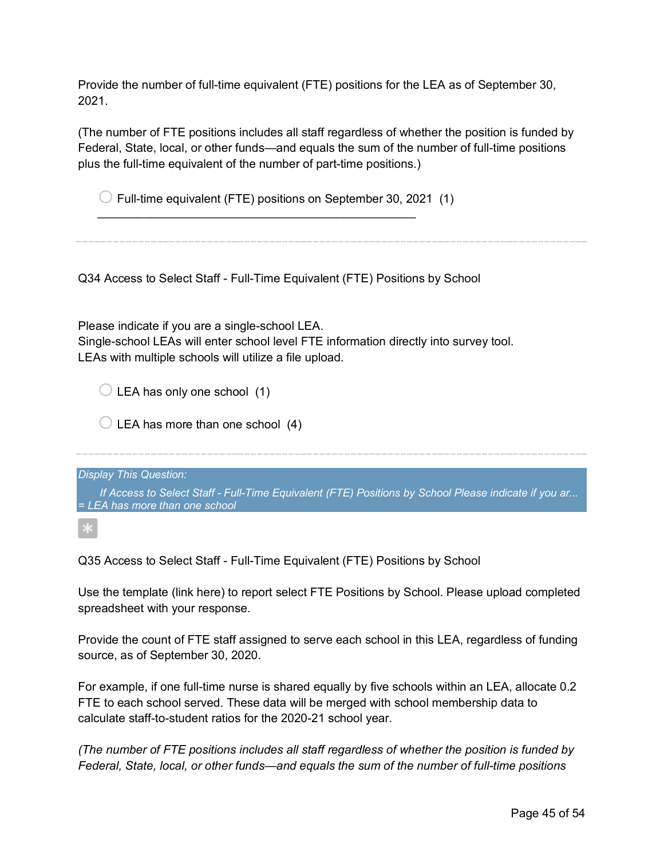Provide the number of full-time equivalent (FTE) positions for the LEA as of September 30, 2021.

(The number of FTE positions includes all staff regardless of whether the position is funded by Federal, State, local, or other funds—and equals the sum of the number of full-time positions plus the full-time equivalent of the number of part-time positions.) Please not list its word file is for LEA planning. All responses must be studied for FLEA at a d'Saptember 30,<br>2021.<br>
Provide the number of FTE positions includes all staff regards<br>best of May 10, and Saptember of Submitte

 $\bigcirc$  Full-time equivalent (FTE) positions on September 30, 2021 (1)

 $\overline{\phantom{a}}$  ,  $\overline{\phantom{a}}$  ,  $\overline{\phantom{a}}$  ,  $\overline{\phantom{a}}$  ,  $\overline{\phantom{a}}$  ,  $\overline{\phantom{a}}$  ,  $\overline{\phantom{a}}$  ,  $\overline{\phantom{a}}$  ,  $\overline{\phantom{a}}$  ,  $\overline{\phantom{a}}$  ,  $\overline{\phantom{a}}$  ,  $\overline{\phantom{a}}$  ,  $\overline{\phantom{a}}$  ,  $\overline{\phantom{a}}$  ,  $\overline{\phantom{a}}$  ,  $\overline{\phantom{a}}$ 

Q34 Access to Select Staff - Full-Time Equivalent (FTE) Positions by School

Please indicate if you are a single-school LEA. Single-school LEAs will enter school level FTE information directly into survey tool. LEAs with multiple schools will utilize a file upload.

 $\bigcirc$  LEA has only one school (1)

 $\bigcup$  LEA has more than one school (4)

*Display This Question:*

*If Access to Select Staff - Full-Time Equivalent (FTE) Positions by School Please indicate if you ar... = LEA has more than one school*

Q35 Access to Select Staff - Full-Time Equivalent (FTE) Positions by School

Use the template (link here) to report select FTE Positions by School. Please upload completed spreadsheet with your response.

Provide the count of FTE staff assigned to serve each school in this LEA, regardless of funding source, as of September 30, 2020.

For example, if one full-time nurse is shared equally by five schools within an LEA, allocate 0.2 FTE to each school served. These data will be merged with school membership data to calculate staff-to-student ratios for the 2020-21 school year.

*(The number of FTE positions includes all staff regardless of whether the position is funded by Federal, State, local, or other funds—and equals the sum of the number of full-time positions*